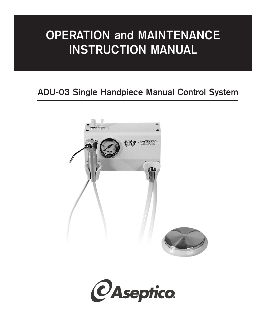# **OPERATION and MAINTENANCE INSTRUCTION MANUAL**

## **ADU-03 Single Handpiece Manual Control System**



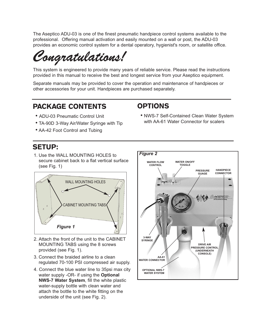The Aseptico ADU-03 is one of the finest pneumatic handpiece control systems available to the professional. Offering manual activation and easily mounted on a wall or post, the ADU-03 provides an economic control system for a dental operatory, hygienist's room, or satellite office.

*Congratulations!*

This system is engineered to provide many years of reliable service. Please read the instructions provided in this manual to receive the best and longest service from your Aseptico equipment.

Separate manuals may be provided to cover the operation and maintenance of handpieces or other accessories for your unit. Handpieces are purchased separately.

## PACKAGE CONTENTS

### OPTIONS

- ADU-03 Pneumatic Control Unit
- TA-90D 3-Way Air/Water Syringe with Tip
- AA-42 Foot Control and Tubing

## SETUP:

1. Use the WALL MOUNTING HOLES to secure cabinet back to a flat vertical surface (see Fig. 1)



- 2. Attach the front of the unit to the CABINET MOUNTING TABS using the 8 screws provided (see Fig. 1).
- 3. Connect the braided airline to a clean regulated 70-100 PSI compressed air supply.
- 4. Connect the blue water line to 35psi max city water supply -OR- if using the **Optional NWS-7 Water System**, fill the white plastic water-supply bottle with clean water and attach the bottle to the white fitting on the underside of the unit (see Fig. 2).



• NWS-7 Self-Contained Clean Water System with AA-61 Water Connector for scalers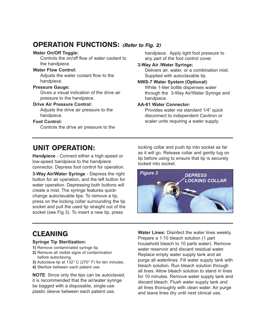## OPERATION FUNCTIONS: (Refer to Fig. 2)

#### **Water On/Off Toggle:**

Controls the on/off flow of water coolant to the handpiece.

#### **Water Flow Control:**

Adjusts the water coolant flow to the handpiece.

#### **Pressure Gauge:**

Gives a visual indication of the drive air pressure to the handpiece.

#### **Drive Air Pressure Control:**

Adjusts the drive air pressure to the handpiece.

#### **Foot Control:**

Controls the drive air pressure to the

#### handpiece. Apply light foot pressure to any part of the foot control cover.

#### **3-Way Air /Water Syringe:**

Delivers air, water, or a combination mist. Supplied with autoclavable tip.

#### **NWS-7 Water System (Optional)**:

White 1-liter bottle dispenses water through the 3-Way Air/Water Syringe and handpiece.

#### **AA-61 Water Connector:**

Provides water via standard 1/4" quick disconnect to independent Cavitron or scaler units requiring a water supply.

## UNIT OPERATION:

**Handpiece** - Connect either a high-speed or low-speed handpiece to the handpiece connector. Depress foot control for operation.

**3-Way Air/Water Syringe** - Depress the right button for air operation, and the left button for water operation. Depressing both buttons will create a mist. The syringe features quickchange autoclavable tips: To remove a tip, press on the locking collar surrounding the tip socket and pull the used tip straight out of the socket (see Fig 3). To insert a new tip, press

locking collar and push tip into socket as far as it will go. Release collar and gently tug on tip before using to ensure that tip is securely locked into socket.



## **CLEANING**

#### **Syringe Tip Sterilization:**

- **1)** Remove contaminated syringe tip.
- **2)** Remove all visible signs of contamination before autoclaving.
- **3)** Autoclave tip at 132° C (270° F) for ten minutes.
- **4)** Sterilize between each patient use.

**NOTE**: Since only the tips can be autoclaved, it is recommended that the air/water syringe be bagged with a disposable, single-use plastic sleeve between each patient use.

**Water Lines:** Disinfect the water lines weekly. Prepare a 1:10 bleach solution (1 part household bleach to 10 parts water). Remove water reservoir and discard residual water. Replace empty water supply tank and air purge all waterlines. Fill water supply tank with bleach solution. Run bleach solution through all lines. Allow bleach solution to stand in lines for 10 minutes. Remove water supply tank and discard bleach. Flush water supply tank and all lines thoroughly with clean water. Air purge and leave lines dry until next clinical use.